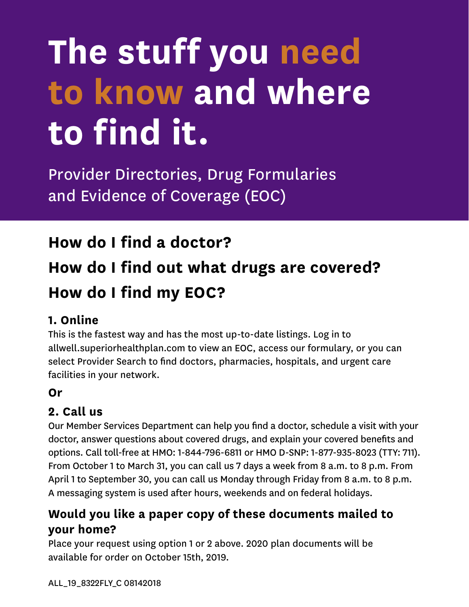# **The stuff you need to know and where to find it.**

Provider Directories, Drug Formularies and Evidence of Coverage (EOC)

### **How do I find a doctor?**

## **How do I find out what drugs are covered? How do I find my EOC?**

#### **1. Online**

This is the fastest way and has the most up-to-date listings. Log in to allwell.superiorhealthplan.com to view an EOC, access our formulary, or you can select Provider Search to find doctors, pharmacies, hospitals, and urgent care facilities in your network.

#### **Or**

#### **2. Call us**

Our Member Services Department can help you find a doctor, schedule a visit with your doctor, answer questions about covered drugs, and explain your covered benefits and options. Call toll-free at HMO: 1-844-796-6811 or HMO D-SNP: 1-877-935-8023 (TTY: 711). From October 1 to March 31, you can call us 7 days a week from 8 a.m. to 8 p.m. From April 1 to September 30, you can call us Monday through Friday from 8 a.m. to 8 p.m. A messaging system is used after hours, weekends and on federal holidays.

#### **Would you like a paper copy of these documents mailed to your home?**

Place your request using option 1 or 2 above. 2020 plan documents will be available for order on October 15th, 2019.